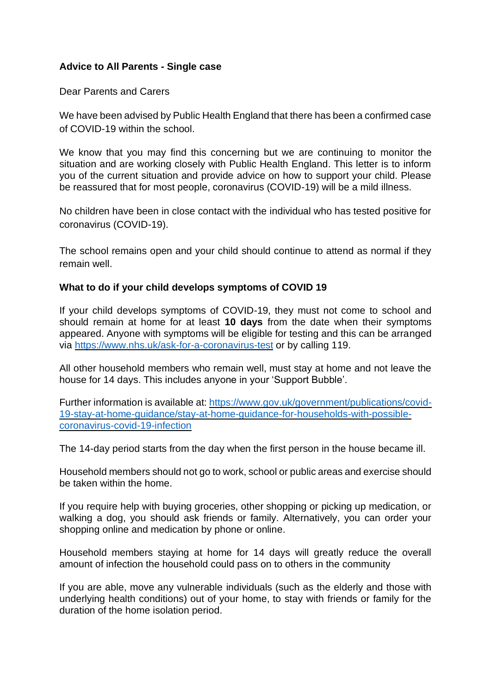# **Advice to All Parents - Single case**

Dear Parents and Carers

We have been advised by Public Health England that there has been a confirmed case of COVID-19 within the school.

We know that you may find this concerning but we are continuing to monitor the situation and are working closely with Public Health England. This letter is to inform you of the current situation and provide advice on how to support your child. Please be reassured that for most people, coronavirus (COVID-19) will be a mild illness.

No children have been in close contact with the individual who has tested positive for coronavirus (COVID-19).

The school remains open and your child should continue to attend as normal if they remain well.

#### **What to do if your child develops symptoms of COVID 19**

If your child develops symptoms of COVID-19, they must not come to school and should remain at home for at least **10 days** from the date when their symptoms appeared. Anyone with symptoms will be eligible for testing and this can be arranged via<https://www.nhs.uk/ask-for-a-coronavirus-test> or by calling 119.

All other household members who remain well, must stay at home and not leave the house for 14 days. This includes anyone in your 'Support Bubble'.

Further information is available at: [https://www.gov.uk/government/publications/covid-](https://www.gov.uk/government/publications/covid-19-stay-at-home-guidance/stay-at-home-guidance-for-households-with-possible-coronavirus-covid-19-infection)[19-stay-at-home-guidance/stay-at-home-guidance-for-households-with-possible](https://www.gov.uk/government/publications/covid-19-stay-at-home-guidance/stay-at-home-guidance-for-households-with-possible-coronavirus-covid-19-infection)[coronavirus-covid-19-infection](https://www.gov.uk/government/publications/covid-19-stay-at-home-guidance/stay-at-home-guidance-for-households-with-possible-coronavirus-covid-19-infection)

The 14-day period starts from the day when the first person in the house became ill.

Household members should not go to work, school or public areas and exercise should be taken within the home.

If you require help with buying groceries, other shopping or picking up medication, or walking a dog, you should ask friends or family. Alternatively, you can order your shopping online and medication by phone or online.

Household members staying at home for 14 days will greatly reduce the overall amount of infection the household could pass on to others in the community

If you are able, move any vulnerable individuals (such as the elderly and those with underlying health conditions) out of your home, to stay with friends or family for the duration of the home isolation period.